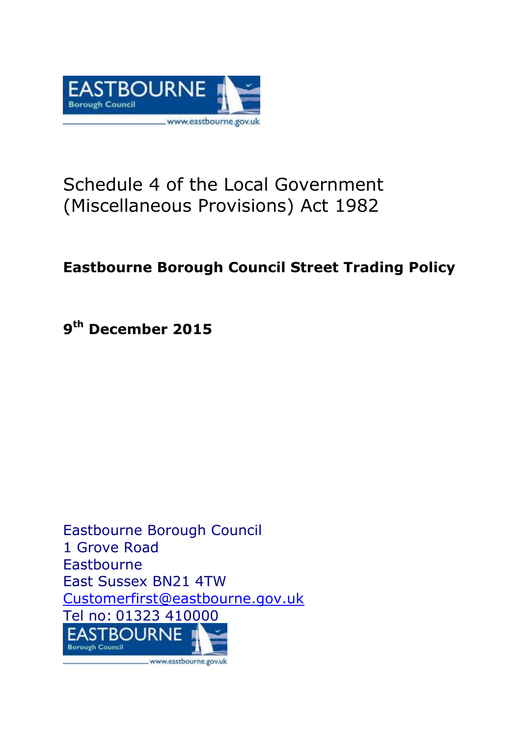

# Schedule 4 of the Local Government (Miscellaneous Provisions) Act 1982

# **Eastbourne Borough Council Street Trading Policy**

**9 th December 2015**

Eastbourne Borough Council 1 Grove Road Eastbourne East Sussex BN21 4TW [Customerfirst@eastbourne.gov.uk](mailto:Customerfirst@eastbourne.gov.uk) Tel no: 01323 410000**EASTBOURNE Borough Council** \_www.eastbourne.gov.uk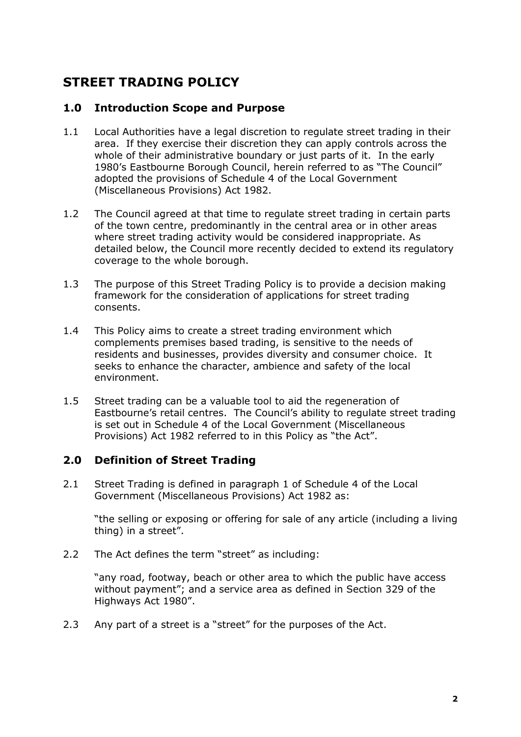## **STREET TRADING POLICY**

#### **1.0 Introduction Scope and Purpose**

- 1.1 Local Authorities have a legal discretion to regulate street trading in their area. If they exercise their discretion they can apply controls across the whole of their administrative boundary or just parts of it. In the early 1980's Eastbourne Borough Council, herein referred to as "The Council" adopted the provisions of Schedule 4 of the Local Government (Miscellaneous Provisions) Act 1982.
- 1.2 The Council agreed at that time to regulate street trading in certain parts of the town centre, predominantly in the central area or in other areas where street trading activity would be considered inappropriate. As detailed below, the Council more recently decided to extend its regulatory coverage to the whole borough.
- 1.3 The purpose of this Street Trading Policy is to provide a decision making framework for the consideration of applications for street trading consents.
- 1.4 This Policy aims to create a street trading environment which complements premises based trading, is sensitive to the needs of residents and businesses, provides diversity and consumer choice. It seeks to enhance the character, ambience and safety of the local environment.
- 1.5 Street trading can be a valuable tool to aid the regeneration of Eastbourne's retail centres. The Council's ability to regulate street trading is set out in Schedule 4 of the Local Government (Miscellaneous Provisions) Act 1982 referred to in this Policy as "the Act".

#### **2.0 Definition of Street Trading**

2.1 Street Trading is defined in paragraph 1 of Schedule 4 of the Local Government (Miscellaneous Provisions) Act 1982 as:

"the selling or exposing or offering for sale of any article (including a living thing) in a street".

2.2 The Act defines the term "street" as including:

"any road, footway, beach or other area to which the public have access without payment"; and a service area as defined in Section 329 of the Highways Act 1980".

2.3 Any part of a street is a "street" for the purposes of the Act.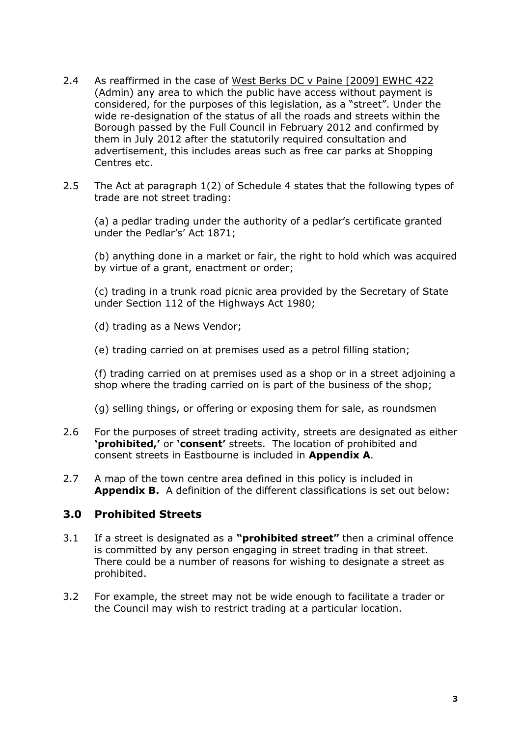- 2.4 As reaffirmed in the case of [West Berks DC v Paine \[2009\] EWHC 422](http://www.taxi-driver.co.uk/phpBB2/viewtopic.php?f=13&t=18621&sid=0fbf53be97fd24842f3e8cbc22dd9385)  [\(Admin\)](http://www.taxi-driver.co.uk/phpBB2/viewtopic.php?f=13&t=18621&sid=0fbf53be97fd24842f3e8cbc22dd9385) any area to which the public have access without payment is considered, for the purposes of this legislation, as a "street". Under the wide re-designation of the status of all the roads and streets within the Borough passed by the Full Council in February 2012 and confirmed by them in July 2012 after the statutorily required consultation and advertisement, this includes areas such as free car parks at Shopping Centres etc.
- 2.5 The Act at paragraph 1(2) of Schedule 4 states that the following types of trade are not street trading:

(a) a pedlar trading under the authority of a pedlar's certificate granted under the Pedlar's' Act 1871;

(b) anything done in a market or fair, the right to hold which was acquired by virtue of a grant, enactment or order;

(c) trading in a trunk road picnic area provided by the Secretary of State under Section 112 of the Highways Act 1980;

(d) trading as a News Vendor;

(e) trading carried on at premises used as a petrol filling station;

(f) trading carried on at premises used as a shop or in a street adjoining a shop where the trading carried on is part of the business of the shop;

- (g) selling things, or offering or exposing them for sale, as roundsmen
- 2.6 For the purposes of street trading activity, streets are designated as either **'prohibited,'** or **'consent'** streets. The location of prohibited and consent streets in Eastbourne is included in **Appendix A**.
- 2.7 A map of the town centre area defined in this policy is included in **Appendix B.** A definition of the different classifications is set out below:

#### **3.0 Prohibited Streets**

- 3.1 If a street is designated as a **"prohibited street"** then a criminal offence is committed by any person engaging in street trading in that street. There could be a number of reasons for wishing to designate a street as prohibited.
- 3.2 For example, the street may not be wide enough to facilitate a trader or the Council may wish to restrict trading at a particular location.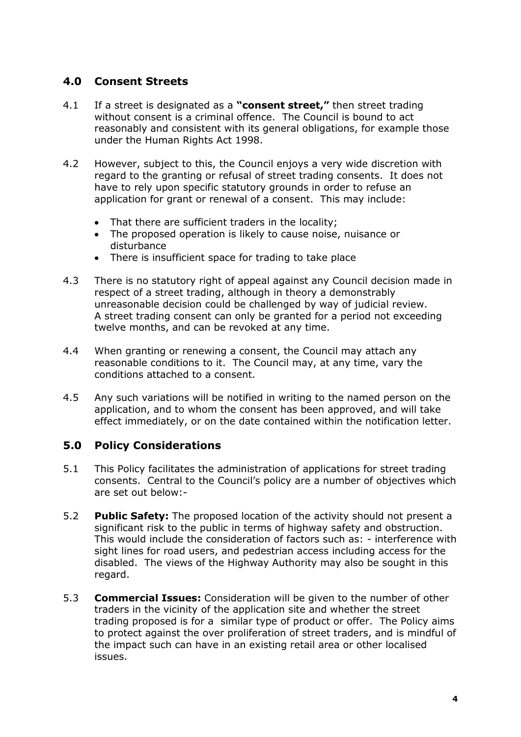#### **4.0 Consent Streets**

- 4.1 If a street is designated as a **"consent street,"** then street trading without consent is a criminal offence. The Council is bound to act reasonably and consistent with its general obligations, for example those under the Human Rights Act 1998.
- 4.2 However, subject to this, the Council enjoys a very wide discretion with regard to the granting or refusal of street trading consents. It does not have to rely upon specific statutory grounds in order to refuse an application for grant or renewal of a consent. This may include:
	- That there are sufficient traders in the locality;
	- The proposed operation is likely to cause noise, nuisance or disturbance
	- There is insufficient space for trading to take place
- 4.3 There is no statutory right of appeal against any Council decision made in respect of a street trading, although in theory a demonstrably unreasonable decision could be challenged by way of judicial review. A street trading consent can only be granted for a period not exceeding twelve months, and can be revoked at any time.
- 4.4 When granting or renewing a consent, the Council may attach any reasonable conditions to it. The Council may, at any time, vary the conditions attached to a consent.
- 4.5 Any such variations will be notified in writing to the named person on the application, and to whom the consent has been approved, and will take effect immediately, or on the date contained within the notification letter.

#### **5.0 Policy Considerations**

- 5.1 This Policy facilitates the administration of applications for street trading consents. Central to the Council's policy are a number of objectives which are set out below:-
- 5.2 **Public Safety:** The proposed location of the activity should not present a significant risk to the public in terms of highway safety and obstruction. This would include the consideration of factors such as: - interference with sight lines for road users, and pedestrian access including access for the disabled. The views of the Highway Authority may also be sought in this regard.
- 5.3 **Commercial Issues:** Consideration will be given to the number of other traders in the vicinity of the application site and whether the street trading proposed is for a similar type of product or offer. The Policy aims to protect against the over proliferation of street traders, and is mindful of the impact such can have in an existing retail area or other localised issues.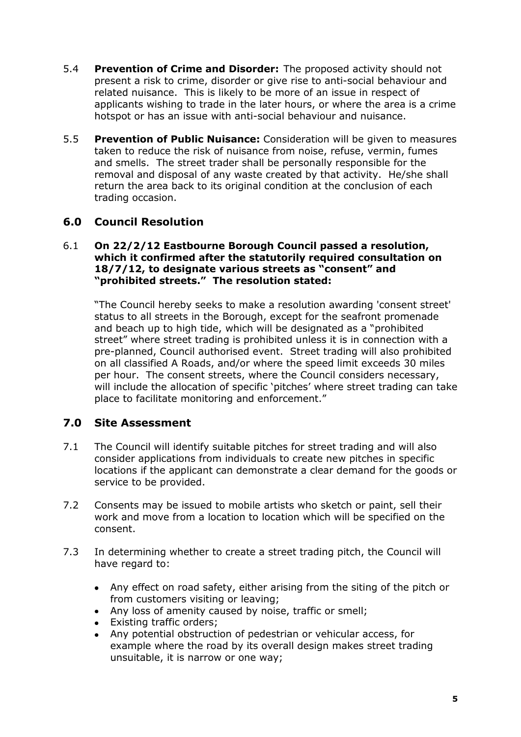- 5.4 **Prevention of Crime and Disorder:** The proposed activity should not present a risk to crime, disorder or give rise to anti-social behaviour and related nuisance. This is likely to be more of an issue in respect of applicants wishing to trade in the later hours, or where the area is a crime hotspot or has an issue with anti-social behaviour and nuisance.
- 5.5 **Prevention of Public Nuisance:** Consideration will be given to measures taken to reduce the risk of nuisance from noise, refuse, vermin, fumes and smells. The street trader shall be personally responsible for the removal and disposal of any waste created by that activity. He/she shall return the area back to its original condition at the conclusion of each trading occasion.

### **6.0 Council Resolution**

#### 6.1 **On 22/2/12 Eastbourne Borough Council passed a resolution, which it confirmed after the statutorily required consultation on 18/7/12, to designate various streets as "consent" and "prohibited streets." The resolution stated:**

"The Council hereby seeks to make a resolution awarding 'consent street' status to all streets in the Borough, except for the seafront promenade and beach up to high tide, which will be designated as a "prohibited street" where street trading is prohibited unless it is in connection with a pre-planned, Council authorised event. Street trading will also prohibited on all classified A Roads, and/or where the speed limit exceeds 30 miles per hour. The consent streets, where the Council considers necessary, will include the allocation of specific 'pitches' where street trading can take place to facilitate monitoring and enforcement."

### **7.0 Site Assessment**

- 7.1 The Council will identify suitable pitches for street trading and will also consider applications from individuals to create new pitches in specific locations if the applicant can demonstrate a clear demand for the goods or service to be provided.
- 7.2 Consents may be issued to mobile artists who sketch or paint, sell their work and move from a location to location which will be specified on the consent.
- 7.3 In determining whether to create a street trading pitch, the Council will have regard to:
	- Any effect on road safety, either arising from the siting of the pitch or from customers visiting or leaving;
	- Any loss of amenity caused by noise, traffic or smell;
	- Existing traffic orders;  $\bullet$
	- Any potential obstruction of pedestrian or vehicular access, for  $\bullet$ example where the road by its overall design makes street trading unsuitable, it is narrow or one way;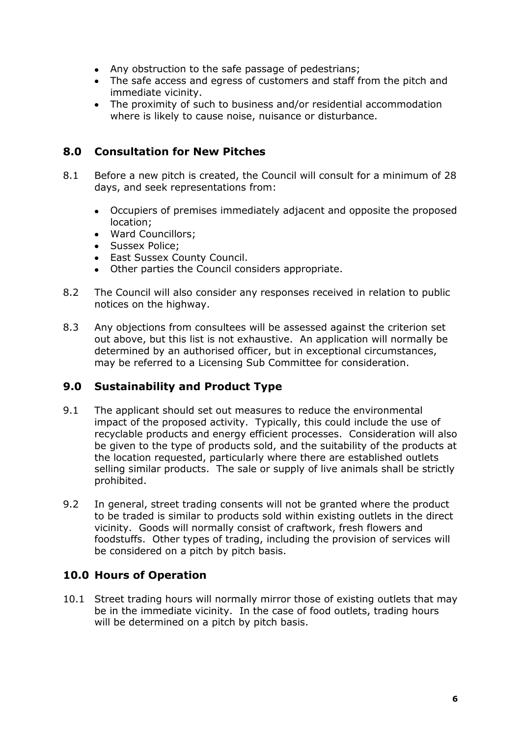- $\bullet$  . Any obstruction to the safe passage of pedestrians;
- The safe access and egress of customers and staff from the pitch and immediate vicinity.
- The proximity of such to business and/or residential accommodation where is likely to cause noise, nuisance or disturbance.

#### **8.0 Consultation for New Pitches**

- 8.1 Before a new pitch is created, the Council will consult for a minimum of 28 days, and seek representations from:
	- $\bullet$ Occupiers of premises immediately adjacent and opposite the proposed location;
	- Ward Councillors;
	- Sussex Police;
	- East Sussex County Council.
	- Other parties the Council considers appropriate.  $\bullet$
- 8.2 The Council will also consider any responses received in relation to public notices on the highway.
- 8.3 Any objections from consultees will be assessed against the criterion set out above, but this list is not exhaustive. An application will normally be determined by an authorised officer, but in exceptional circumstances, may be referred to a Licensing Sub Committee for consideration.

### **9.0 Sustainability and Product Type**

- 9.1 The applicant should set out measures to reduce the environmental impact of the proposed activity. Typically, this could include the use of recyclable products and energy efficient processes. Consideration will also be given to the type of products sold, and the suitability of the products at the location requested, particularly where there are established outlets selling similar products. The sale or supply of live animals shall be strictly prohibited.
- 9.2 In general, street trading consents will not be granted where the product to be traded is similar to products sold within existing outlets in the direct vicinity. Goods will normally consist of craftwork, fresh flowers and foodstuffs. Other types of trading, including the provision of services will be considered on a pitch by pitch basis.

### **10.0 Hours of Operation**

10.1 Street trading hours will normally mirror those of existing outlets that may be in the immediate vicinity. In the case of food outlets, trading hours will be determined on a pitch by pitch basis.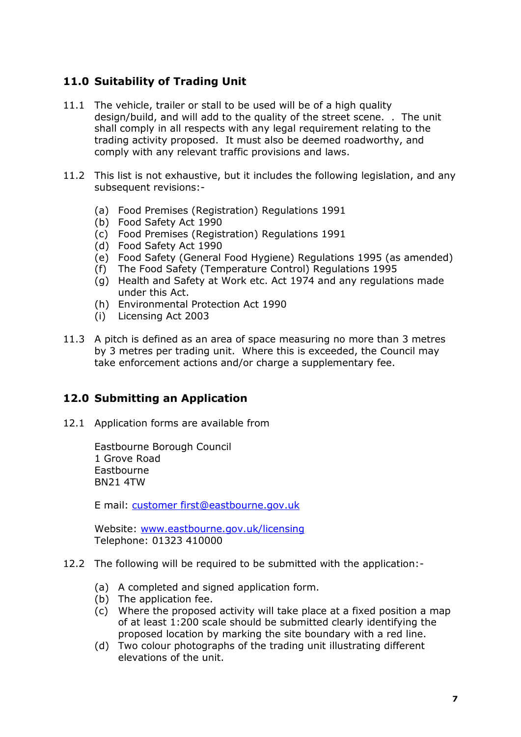### **11.0 Suitability of Trading Unit**

- 11.1 The vehicle, trailer or stall to be used will be of a high quality design/build, and will add to the quality of the street scene. . The unit shall comply in all respects with any legal requirement relating to the trading activity proposed. It must also be deemed roadworthy, and comply with any relevant traffic provisions and laws.
- 11.2 This list is not exhaustive, but it includes the following legislation, and any subsequent revisions:-
	- (a) Food Premises (Registration) Regulations 1991
	- (b) Food Safety Act 1990
	- (c) Food Premises (Registration) Regulations 1991
	- (d) Food Safety Act 1990
	- (e) Food Safety (General Food Hygiene) Regulations 1995 (as amended)
	- (f) The Food Safety (Temperature Control) Regulations 1995
	- (g) Health and Safety at Work etc. Act 1974 and any regulations made under this Act.
	- (h) Environmental Protection Act 1990
	- (i) Licensing Act 2003
- 11.3 A pitch is defined as an area of space measuring no more than 3 metres by 3 metres per trading unit. Where this is exceeded, the Council may take enforcement actions and/or charge a supplementary fee.

#### **12.0 Submitting an Application**

12.1 Application forms are available from

Eastbourne Borough Council 1 Grove Road **Eastbourne** BN21 4TW

E mail: [customer first@eastbourne.gov.uk](mailto:licensing@eastbourne.gov.uk)

Website: [www.eastbourne.gov.uk/licensing](http://www.eastbourne.gov.uk/licensing) Telephone: 01323 410000

- 12.2 The following will be required to be submitted with the application:-
	- (a) A completed and signed application form.
	- (b) The application fee.
	- (c) Where the proposed activity will take place at a fixed position a map of at least 1:200 scale should be submitted clearly identifying the proposed location by marking the site boundary with a red line.
	- (d) Two colour photographs of the trading unit illustrating different elevations of the unit.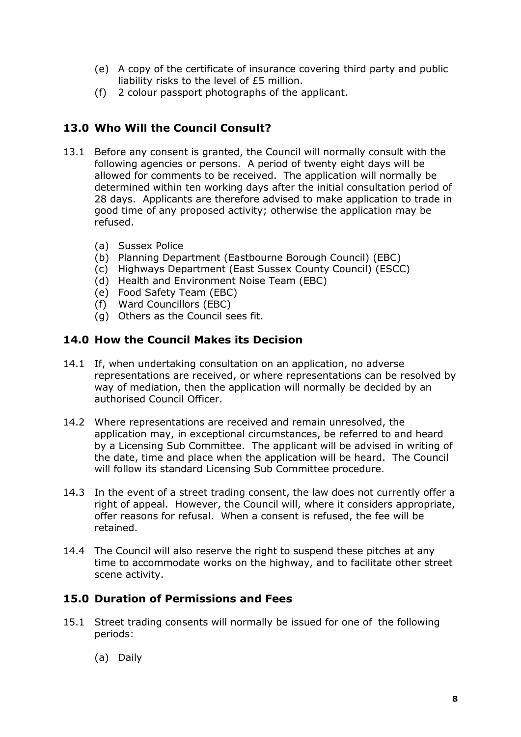- (e) A copy of the certificate of insurance covering third party and public liability risks to the level of £5 million.
- (f) 2 colour passport photographs of the applicant.

### **13.0 Who Will the Council Consult?**

- 13.1 Before any consent is granted, the Council will normally consult with the following agencies or persons. A period of twenty eight days will be allowed for comments to be received. The application will normally be determined within ten working days after the initial consultation period of 28 days. Applicants are therefore advised to make application to trade in good time of any proposed activity; otherwise the application may be refused.
	- (a) Sussex Police
	- (b) Planning Department (Eastbourne Borough Council) (EBC)
	- (c) Highways Department (East Sussex County Council) (ESCC)
	- (d) Health and Environment Noise Team (EBC)
	- (e) Food Safety Team (EBC)
	- (f) Ward Councillors (EBC)
	- (g) Others as the Council sees fit.

#### **14.0 How the Council Makes its Decision**

- 14.1 If, when undertaking consultation on an application, no adverse representations are received, or where representations can be resolved by way of mediation, then the application will normally be decided by an authorised Council Officer.
- 14.2 Where representations are received and remain unresolved, the application may, in exceptional circumstances, be referred to and heard by a Licensing Sub Committee. The applicant will be advised in writing of the date, time and place when the application will be heard. The Council will follow its standard Licensing Sub Committee procedure.
- 14.3 In the event of a street trading consent, the law does not currently offer a right of appeal. However, the Council will, where it considers appropriate, offer reasons for refusal. When a consent is refused, the fee will be retained.
- 14.4 The Council will also reserve the right to suspend these pitches at any time to accommodate works on the highway, and to facilitate other street scene activity.

#### **15.0 Duration of Permissions and Fees**

- 15.1 Street trading consents will normally be issued for one of the following periods:
	- (a) Daily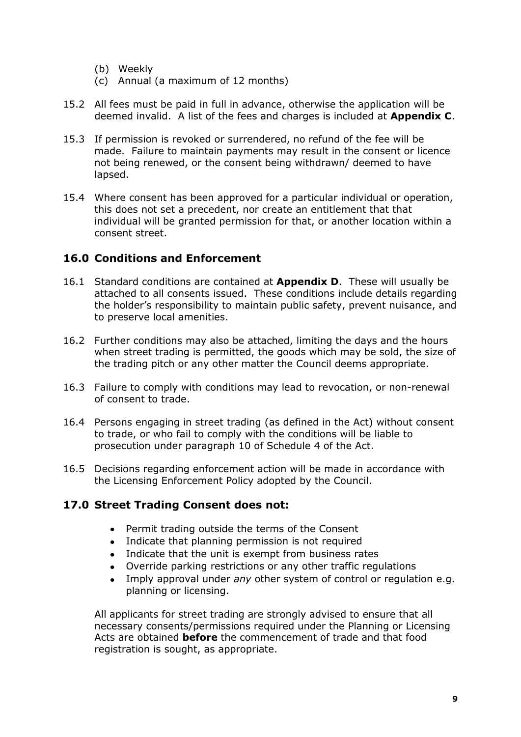- (b) Weekly
- (c) Annual (a maximum of 12 months)
- 15.2 All fees must be paid in full in advance, otherwise the application will be deemed invalid. A list of the fees and charges is included at **Appendix C**.
- 15.3 If permission is revoked or surrendered, no refund of the fee will be made. Failure to maintain payments may result in the consent or licence not being renewed, or the consent being withdrawn/ deemed to have lapsed.
- 15.4 Where consent has been approved for a particular individual or operation, this does not set a precedent, nor create an entitlement that that individual will be granted permission for that, or another location within a consent street.

#### **16.0 Conditions and Enforcement**

- 16.1 Standard conditions are contained at **Appendix D**. These will usually be attached to all consents issued. These conditions include details regarding the holder's responsibility to maintain public safety, prevent nuisance, and to preserve local amenities.
- 16.2 Further conditions may also be attached, limiting the days and the hours when street trading is permitted, the goods which may be sold, the size of the trading pitch or any other matter the Council deems appropriate.
- 16.3 Failure to comply with conditions may lead to revocation, or non-renewal of consent to trade.
- 16.4 Persons engaging in street trading (as defined in the Act) without consent to trade, or who fail to comply with the conditions will be liable to prosecution under paragraph 10 of Schedule 4 of the Act.
- 16.5 Decisions regarding enforcement action will be made in accordance with the Licensing Enforcement Policy adopted by the Council.

#### **17.0 Street Trading Consent does not:**

- Permit trading outside the terms of the Consent
- Indicate that planning permission is not required
- Indicate that the unit is exempt from business rates
- $\bullet$ Override parking restrictions or any other traffic regulations
- Imply approval under *any* other system of control or regulation e.g. planning or licensing.

All applicants for street trading are strongly advised to ensure that all necessary consents/permissions required under the Planning or Licensing Acts are obtained **before** the commencement of trade and that food registration is sought, as appropriate.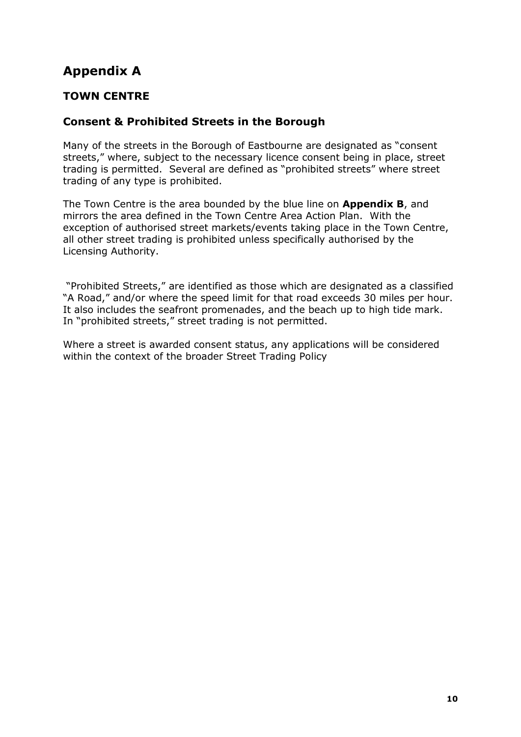# **Appendix A**

### **TOWN CENTRE**

### **Consent & Prohibited Streets in the Borough**

Many of the streets in the Borough of Eastbourne are designated as "consent streets," where, subject to the necessary licence consent being in place, street trading is permitted. Several are defined as "prohibited streets" where street trading of any type is prohibited.

The Town Centre is the area bounded by the blue line on **Appendix B**, and mirrors the area defined in the Town Centre Area Action Plan. With the exception of authorised street markets/events taking place in the Town Centre, all other street trading is prohibited unless specifically authorised by the Licensing Authority.

"Prohibited Streets," are identified as those which are designated as a classified "A Road," and/or where the speed limit for that road exceeds 30 miles per hour. It also includes the seafront promenades, and the beach up to high tide mark. In "prohibited streets," street trading is not permitted.

Where a street is awarded consent status, any applications will be considered within the context of the broader Street Trading Policy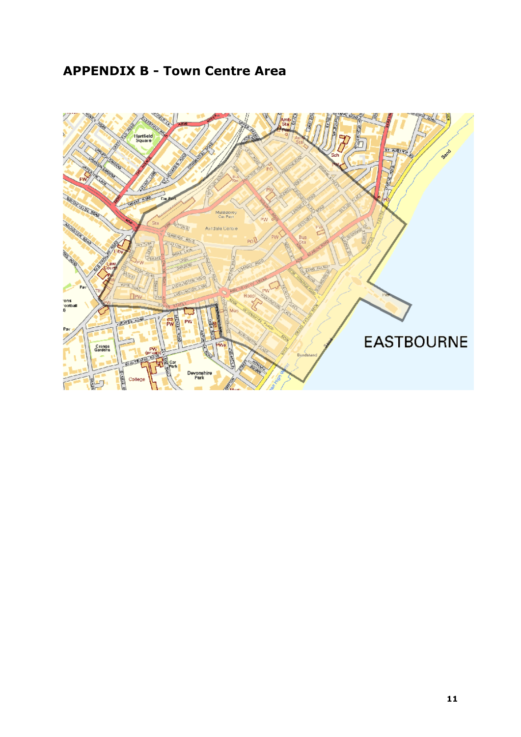# **APPENDIX B - Town Centre Area**

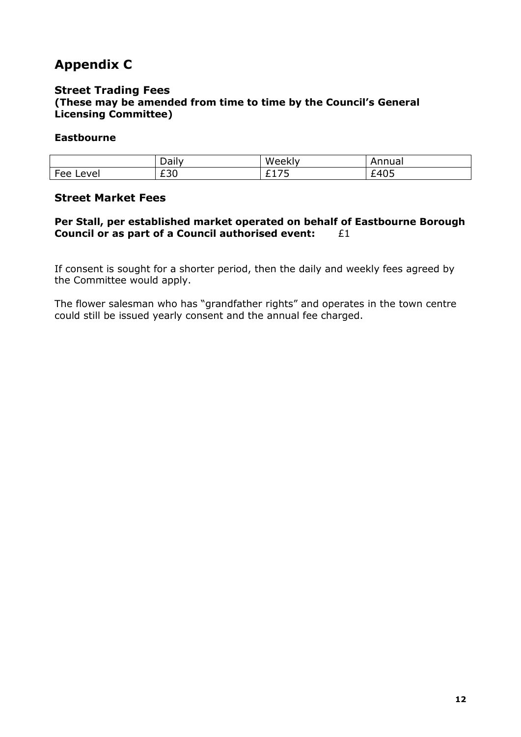# **Appendix C**

#### **Street Trading Fees (These may be amended from time to time by the Council's General Licensing Committee)**

#### **Eastbourne**

|                        | Dall                         | W<br>x     | `nua.<br>Η.             |
|------------------------|------------------------------|------------|-------------------------|
| -<br>AVA'<br>⊿ہ⊣<br>cc | $\sim$ $\sim$ $\sim$<br>ں بے | - -<br>. . | $\sim$ $\sim$<br>ັ<br>_ |

#### **Street Market Fees**

#### **Per Stall, per established market operated on behalf of Eastbourne Borough Council or as part of a Council authorised event:** £1

If consent is sought for a shorter period, then the daily and weekly fees agreed by the Committee would apply.

The flower salesman who has "grandfather rights" and operates in the town centre could still be issued yearly consent and the annual fee charged.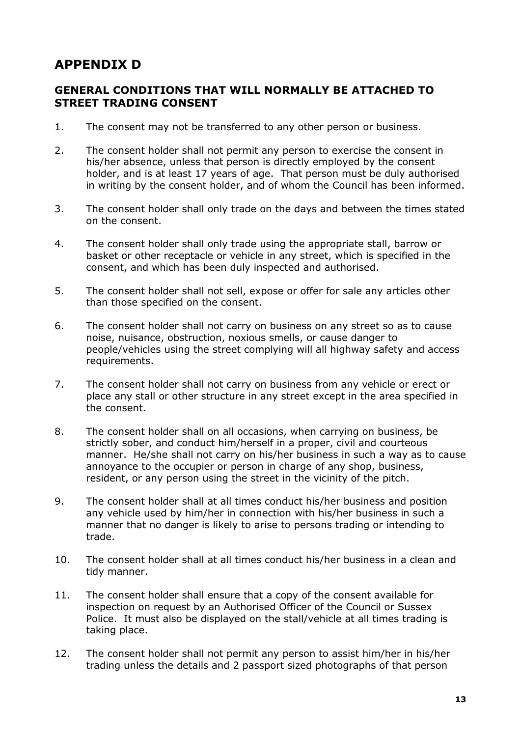## **APPENDIX D**

#### **GENERAL CONDITIONS THAT WILL NORMALLY BE ATTACHED TO STREET TRADING CONSENT**

- 1. The consent may not be transferred to any other person or business.
- 2. The consent holder shall not permit any person to exercise the consent in his/her absence, unless that person is directly employed by the consent holder, and is at least 17 years of age. That person must be duly authorised in writing by the consent holder, and of whom the Council has been informed.
- 3. The consent holder shall only trade on the days and between the times stated on the consent.
- 4. The consent holder shall only trade using the appropriate stall, barrow or basket or other receptacle or vehicle in any street, which is specified in the consent, and which has been duly inspected and authorised.
- 5. The consent holder shall not sell, expose or offer for sale any articles other than those specified on the consent.
- 6. The consent holder shall not carry on business on any street so as to cause noise, nuisance, obstruction, noxious smells, or cause danger to people/vehicles using the street complying will all highway safety and access requirements.
- 7. The consent holder shall not carry on business from any vehicle or erect or place any stall or other structure in any street except in the area specified in the consent.
- 8. The consent holder shall on all occasions, when carrying on business, be strictly sober, and conduct him/herself in a proper, civil and courteous manner. He/she shall not carry on his/her business in such a way as to cause annoyance to the occupier or person in charge of any shop, business, resident, or any person using the street in the vicinity of the pitch.
- 9. The consent holder shall at all times conduct his/her business and position any vehicle used by him/her in connection with his/her business in such a manner that no danger is likely to arise to persons trading or intending to trade.
- 10. The consent holder shall at all times conduct his/her business in a clean and tidy manner.
- 11. The consent holder shall ensure that a copy of the consent available for inspection on request by an Authorised Officer of the Council or Sussex Police. It must also be displayed on the stall/vehicle at all times trading is taking place.
- 12. The consent holder shall not permit any person to assist him/her in his/her trading unless the details and 2 passport sized photographs of that person